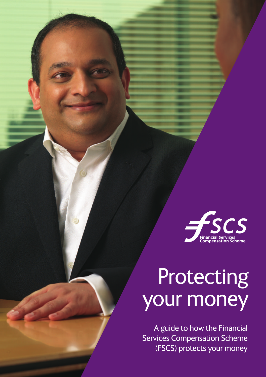

# **Protecting** your money

A guide to how the Financial Services Compensation Scheme (FSCS) protects your money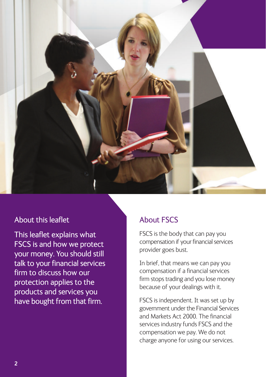

## About this leaflet

This leaflet explains what FSCS is and how we protect your money. You should still talk to your financial services firm to discuss how our protection applies to the products and services you have bought from that firm.

# About FSCS

FSCS is the body that can pay you compensation if your financial services provider goes bust.

In brief, that means we can pay you compensation if a financial services firm stops trading and you lose money because of your dealings with it.

FSCS is independent. It was set up by government under the Financial Services and Markets Act 2000. The financial services industry funds FSCS and the compensation we pay. We do not charge anyone for using our services.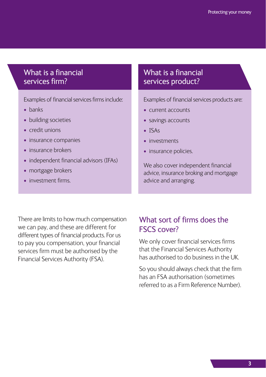## What is a financial services firm?

Examples of financial services firms include:

- banks
- building societies
- credit unions
- insurance companies
- insurance brokers
- independent financial advisors (IFAs)
- mortgage brokers
- investment firms.

# What is a financial services product?

Examples of financial services products are:

- current accounts
- savings accounts
- ISAs
- investments
- insurance policies.

We also cover independent financial advice, insurance broking and mortgage advice and arranging.

There are limits to how much compensation we can pay, and these are different for different types of financial products. For us to pay you compensation, your financial services firm must be authorised by the Financial Services Authority (FSA).

# What sort of firms does the FSCS cover?

We only cover financial services firms that the Financial Services Authority has authorised to do business in the UK.

So you should always check that the firm has an FSA authorisation (sometimes referred to as a Firm Reference Number).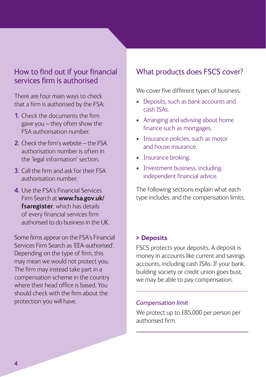## How to find out if your financial services firm is authorised

There are four main ways to check that a firm is authorised by the FSA:

- **1.** Check the documents the firm gave you – they often show the FSA authorisation number.
- **2.** Check the firm's website the FSA authorisation number is often in the 'legal information' section.
- **3.** Call the firm and ask for their FSA authorisation number.
- **4.** Use the FSA's Financial Services Firm Search at **www.fsa.gov.uk/ fsaregister**, which has details of every financial services firm authorised to do business in the UK.

Some firms appear on the FSA's Financial Services Firm Search as 'EEA-authorised'. Depending on the type of firm, this may mean we would not protect you. The firm may instead take part in a compensation scheme in the country where their head office is based. You should check with the firm about the protection you will have.

## What products does FSCS cover?

We cover five different types of business:

- Deposits, such as bank accounts and cash ISAs.
- Arranging and advising about home finance such as mortgages.
- Insurance policies, such as motor and house insurance.
- Insurance broking.
- Investment business, including independent financial advice.

The following sections explain what each type includes, and the compensation limits.

#### **> Deposits**

FSCS protects your deposits. A deposit is money in accounts like current and savings accounts, including cash ISAs. If your bank, building society or credit union goes bust, we may be able to pay compensation.

#### *Compensation limit*

We protect up to £85,000 per person per authorised firm.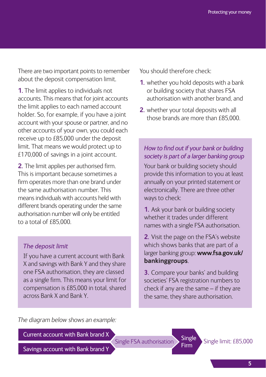There are two important points to remember about the deposit compensation limit.

**1.** The limit applies to individuals not accounts. This means that for joint accounts the limit applies to each named account holder. So, for example, if you have a joint account with your spouse or partner, and no other accounts of your own, you could each receive up to £85,000 under the deposit limit. That means we would protect up to £170,000 of savings in a joint account.

**2.** The limit applies per authorised firm. This is important because sometimes a firm operates more than one brand under the same authorisation number. This means individuals with accounts held with different brands operating under the same authorisation number will only be entitled to a total of £85,000.

#### *The deposit limit*

If you have a current account with Bank X and savings with Bank Y and they share one FSA authorisation, they are classed as a single firm. This means your limit for compensation is £85,000 in total, shared across Bank X and Bank Y.

You should therefore check:

- **1.** whether you hold deposits with a bank or building society that shares FSA authorisation with another brand, and
- **2.** whether your total deposits with all those brands are more than £85,000

#### *How to find out if your bank or building society is part of a larger banking group*

Your bank or building society should provide this information to you at least annually on your printed statement or electronically. There are three other ways to check:

**1.** Ask your bank or building society whether it trades under different names with a single FSA authorisation.

**2.** Visit the page on the FSA's website which shows banks that are part of a larger banking group: **www.fsa.gov.uk/ bankinggroups**.

**3.** Compare your banks' and building societies' FSA registration numbers to check if any are the same – if they are the same, they share authorisation.

*The diagram below shows an example:*

Current account with Bank brand X

Single Single limit: £85,000 Firm Single FSA authorisation

Savings account with Bank brand Y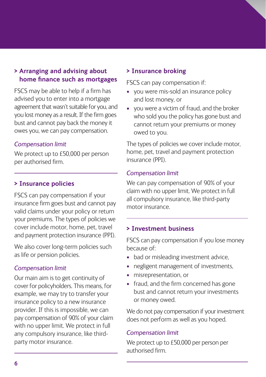#### **> Arranging and advising about home finance such as mortgages**

FSCS may be able to help if a firm has advised you to enter into a mortgage agreement that wasn't suitable for you, and you lost money as a result. If the firm goes bust and cannot pay back the money it owes you, we can pay compensation.

#### *Compensation limit*

We protect up to £50,000 per person per authorised firm.

#### **> Insurance policies**

FSCS can pay compensation if your insurance firm goes bust and cannot pay valid claims under your policy or return your premiums. The types of policies we cover include motor, home, pet, travel and payment protection insurance (PPI).

We also cover long-term policies such as life or pension policies.

#### *Compensation limit*

Our main aim is to get continuity of cover for policyholders. This means, for example, we may try to transfer your insurance policy to a new insurance provider. If this is impossible, we can pay compensation of 90% of your claim with no upper limit. We protect in full any compulsory insurance, like thirdparty motor insurance.

#### **> Insurance broking**

FSCS can pay compensation if:

- you were mis-sold an insurance policy and lost money, or
- you were a victim of fraud, and the broker who sold you the policy has gone bust and cannot return your premiums or money owed to you.

The types of policies we cover include motor, home, pet, travel and payment protection insurance (PPI).

#### *Compensation limit*

We can pay compensation of 90% of your claim with no upper limit. We protect in full all compulsory insurance, like third-party motor insurance.

#### **> Investment business**

FSCS can pay compensation if you lose money because of:

- bad or misleading investment advice,
- negligent management of investments,
- misrepresentation, or
- fraud, and the firm concerned has gone bust and cannot return your investments or money owed.

We do not pay compensation if your investment. does not perform as well as you hoped.

#### *Compensation limit*

We protect up to £50,000 per person per authorised firm.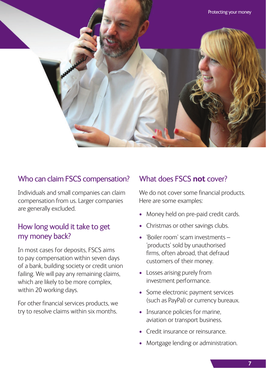

## Who can claim FSCS compensation?

Individuals and small companies can claim compensation from us. Larger companies are generally excluded.

## How long would it take to get my money back?

In most cases for deposits, FSCS aims to pay compensation within seven days of a bank, building society or credit union failing. We will pay any remaining claims, which are likely to be more complex, within 20 working days.

For other financial services products, we try to resolve claims within six months.

## What does FSCS **not** cover?

We do not cover some financial products. Here are some examples:

- Money held on pre-paid credit cards.
- Christmas or other savings clubs.
- 'Boiler room' scam investments 'products' sold by unauthorised firms, often abroad, that defraud customers of their money.
- Losses arising purely from investment performance.
- Some electronic payment services (such as PayPal) or currency bureaux.
- Insurance policies for marine. aviation or transport business.
- Credit insurance or reinsurance.
- Mortgage lending or administration.